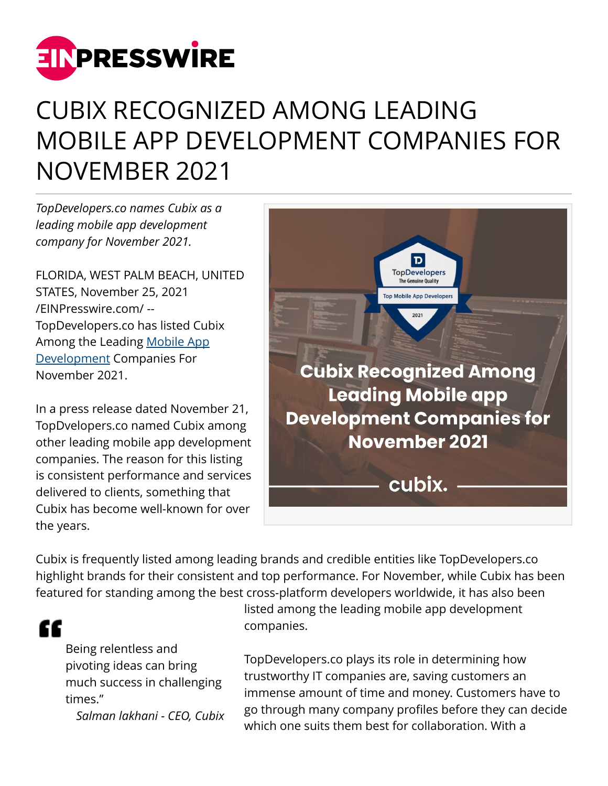

## CUBIX RECOGNIZED AMONG LEADING MOBILE APP DEVELOPMENT COMPANIES FOR NOVEMBER 2021

*TopDevelopers.co names Cubix as a leading mobile app development company for November 2021.*

FLORIDA, WEST PALM BEACH, UNITED STATES, November 25, 2021 [/EINPresswire.com/](http://www.einpresswire.com) -- TopDevelopers.co has listed Cubix Among the Leading [Mobile App](https://www.cubix.co/mobile-app-development) [Development](https://www.cubix.co/mobile-app-development) Companies For November 2021.

In a press release dated November 21, TopDvelopers.co named Cubix among other leading mobile app development companies. The reason for this listing is consistent performance and services delivered to clients, something that Cubix has become well-known for over the years.



Cubix is frequently listed among leading brands and credible entities like TopDevelopers.co highlight brands for their consistent and top performance. For November, while Cubix has been featured for standing among the best cross-platform developers worldwide, it has also been

## ££

Being relentless and pivoting ideas can bring much success in challenging times."

*Salman lakhani - CEO, Cubix*

listed among the leading mobile app development companies.

TopDevelopers.co plays its role in determining how trustworthy IT companies are, saving customers an immense amount of time and money. Customers have to go through many company profiles before they can decide which one suits them best for collaboration. With a